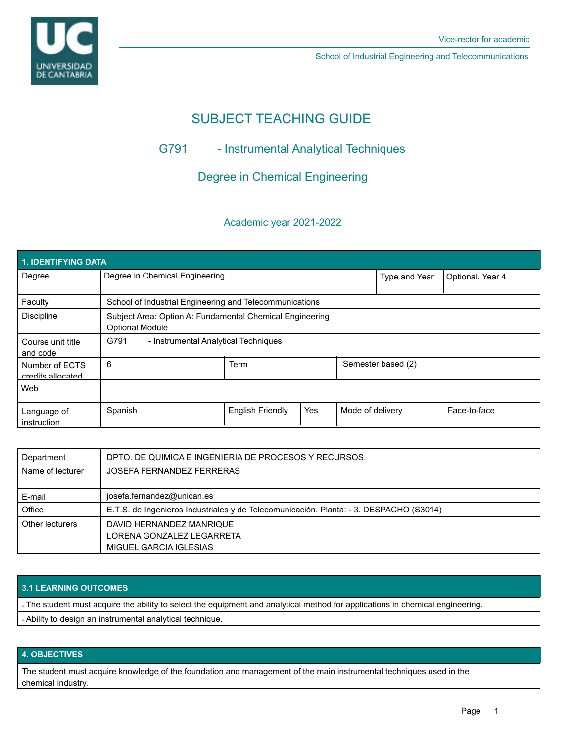

School of Industrial Engineering and Telecommunications

# SUBJECT TEACHING GUIDE

## G791 - Instrumental Analytical Techniques

Degree in Chemical Engineering

### Academic year 2021-2022

| <b>1. IDENTIFYING DATA</b>          |                                                                                    |                         |     |                    |                  |              |  |  |  |
|-------------------------------------|------------------------------------------------------------------------------------|-------------------------|-----|--------------------|------------------|--------------|--|--|--|
| Degree                              | Degree in Chemical Engineering                                                     |                         |     | Type and Year      | Optional. Year 4 |              |  |  |  |
| Faculty                             | School of Industrial Engineering and Telecommunications                            |                         |     |                    |                  |              |  |  |  |
| <b>Discipline</b>                   | Subject Area: Option A: Fundamental Chemical Engineering<br><b>Optional Module</b> |                         |     |                    |                  |              |  |  |  |
| Course unit title<br>and code       | G791<br>- Instrumental Analytical Techniques                                       |                         |     |                    |                  |              |  |  |  |
| Number of ECTS<br>credits allocated | 6                                                                                  | <b>Term</b>             |     | Semester based (2) |                  |              |  |  |  |
| Web                                 |                                                                                    |                         |     |                    |                  |              |  |  |  |
| Language of<br>instruction          | Spanish                                                                            | <b>English Friendly</b> | Yes | Mode of delivery   |                  | Face-to-face |  |  |  |

| Department       | DPTO. DE QUIMICA E INGENIERIA DE PROCESOS Y RECURSOS.                                  |  |  |  |
|------------------|----------------------------------------------------------------------------------------|--|--|--|
| Name of lecturer | JOSEFA FERNANDEZ FERRERAS                                                              |  |  |  |
|                  |                                                                                        |  |  |  |
| E-mail           | josefa.fernandez@unican.es                                                             |  |  |  |
| Office           | E.T.S. de Ingenieros Industriales y de Telecomunicación. Planta: - 3. DESPACHO (S3014) |  |  |  |
| Other lecturers  | DAVID HERNANDEZ MANRIQUE                                                               |  |  |  |
|                  | LORENA GONZALEZ LEGARRETA                                                              |  |  |  |
|                  | MIGUEL GARCIA IGLESIAS                                                                 |  |  |  |

### **3.1 LEARNING OUTCOMES**

- The student must acquire the ability to select the equipment and analytical method for applications in chemical engineering.

- Ability to design an instrumental analytical technique.

### **4. OBJECTIVES**

The student must acquire knowledge of the foundation and management of the main instrumental techniques used in the chemical industry.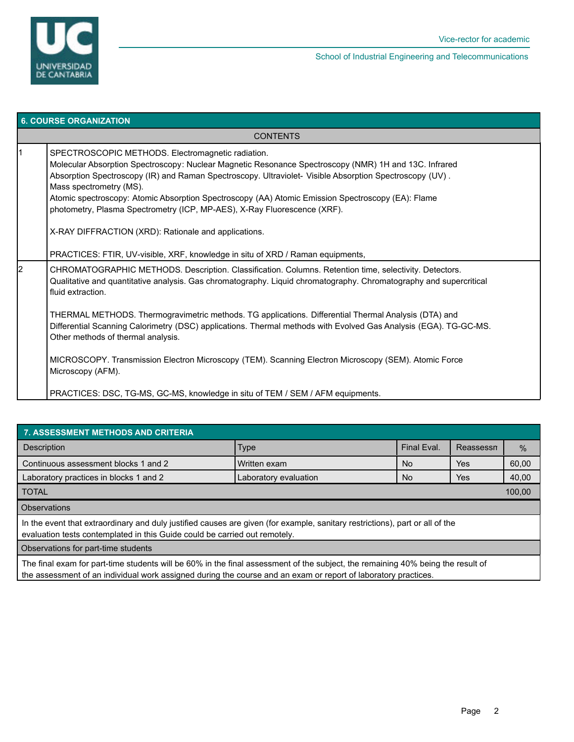

| <b>6. COURSE ORGANIZATION</b> |                                                                                                                                                                                                                                                                                                                                                                                                                                                                                                                                                                                                                                                                                                                                                                                                                      |  |  |
|-------------------------------|----------------------------------------------------------------------------------------------------------------------------------------------------------------------------------------------------------------------------------------------------------------------------------------------------------------------------------------------------------------------------------------------------------------------------------------------------------------------------------------------------------------------------------------------------------------------------------------------------------------------------------------------------------------------------------------------------------------------------------------------------------------------------------------------------------------------|--|--|
|                               | <b>CONTENTS</b>                                                                                                                                                                                                                                                                                                                                                                                                                                                                                                                                                                                                                                                                                                                                                                                                      |  |  |
|                               | SPECTROSCOPIC METHODS. Electromagnetic radiation.<br>Molecular Absorption Spectroscopy: Nuclear Magnetic Resonance Spectroscopy (NMR) 1H and 13C. Infrared<br>Absorption Spectroscopy (IR) and Raman Spectroscopy. Ultraviolet- Visible Absorption Spectroscopy (UV).<br>Mass spectrometry (MS).<br>Atomic spectroscopy: Atomic Absorption Spectroscopy (AA) Atomic Emission Spectroscopy (EA): Flame<br>photometry, Plasma Spectrometry (ICP, MP-AES), X-Ray Fluorescence (XRF).<br>X-RAY DIFFRACTION (XRD): Rationale and applications.                                                                                                                                                                                                                                                                            |  |  |
| 2                             | PRACTICES: FTIR, UV-visible, XRF, knowledge in situ of XRD / Raman equipments,<br>CHROMATOGRAPHIC METHODS. Description. Classification. Columns. Retention time, selectivity. Detectors.<br>Qualitative and quantitative analysis. Gas chromatography. Liquid chromatography. Chromatography and supercritical<br>fluid extraction.<br>THERMAL METHODS. Thermogravimetric methods. TG applications. Differential Thermal Analysis (DTA) and<br>Differential Scanning Calorimetry (DSC) applications. Thermal methods with Evolved Gas Analysis (EGA). TG-GC-MS.<br>Other methods of thermal analysis.<br>MICROSCOPY. Transmission Electron Microscopy (TEM). Scanning Electron Microscopy (SEM). Atomic Force<br>Microscopy (AFM).<br>PRACTICES: DSC, TG-MS, GC-MS, knowledge in situ of TEM / SEM / AFM equipments. |  |  |

| <b>7. ASSESSMENT METHODS AND CRITERIA</b>                                                                                                                                                                  |                       |             |     |       |  |  |  |  |  |
|------------------------------------------------------------------------------------------------------------------------------------------------------------------------------------------------------------|-----------------------|-------------|-----|-------|--|--|--|--|--|
| Description                                                                                                                                                                                                | <b>Type</b>           | Final Eval. |     | $\%$  |  |  |  |  |  |
| Continuous assessment blocks 1 and 2                                                                                                                                                                       | Written exam          |             | Yes | 60,00 |  |  |  |  |  |
| Laboratory practices in blocks 1 and 2                                                                                                                                                                     | Laboratory evaluation |             | Yes | 40,00 |  |  |  |  |  |
| <b>TOTAL</b>                                                                                                                                                                                               |                       |             |     |       |  |  |  |  |  |
| <b>Observations</b>                                                                                                                                                                                        |                       |             |     |       |  |  |  |  |  |
| In the event that extraordinary and duly justified causes are given (for example, sanitary restrictions), part or all of the<br>evaluation tests contemplated in this Guide could be carried out remotely. |                       |             |     |       |  |  |  |  |  |
| Observations for part-time students                                                                                                                                                                        |                       |             |     |       |  |  |  |  |  |
| The final average for next time attribute will be COOC in the final accessories of the subject the remediated 4000 being the required                                                                      |                       |             |     |       |  |  |  |  |  |

The final exam for part-time students will be 60% in the final assessment of the subject, the remaining 40% being the result of the assessment of an individual work assigned during the course and an exam or report of laboratory practices.